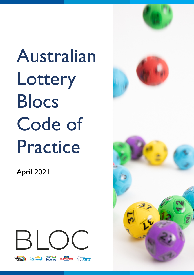Australian **Lottery** Blocs Code of Practice

April 2021



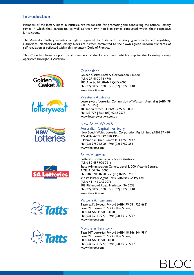# **Introduction**

Members of the lottery blocs in Australia are responsible for promoting and conducting the national lottery games in which they participate, as well as their own non-bloc games conducted within their respective jurisdictions.

The Australian lottery industry is tightly regulated by State and Territory governments and regulatory authorities. Members of the lottery blocs are further committed to their own agreed uniform standards of self-regulation as reflected within this voluntary Code of Practice.

This Code has been adopted by all members of the lottery blocs, which comprise the following lottery operators throughout Australia:













# **Queensland**

Golden Casket Lottery Corporation Limited (ABN 27 410 374 474) 180 Ann St, BRISBANE QLD 4000 Ph: (07) 3877 1000 | Fax: (07) 3877 1140 www.thelott.com

#### Western Australia

Lotterywest (Lotteries Commission of Western Australia) (ABN 78 531 150 466) 38 Station Street, SUBIACO WA 6008 Ph: 133 777 | Fax: (08) 9242 2577 www.lotterywest.wa.gov.au

# New South Wales &

#### Australian Capital Territory

New South Wales Lotteries Corporation Pty Limited (ABN 27 410 374 474/ ACN 142 890 195) 6 Memorial Drive, Granville, NSW, 2142 Ph: (02) 9752 5500 | Fax: (02) 9752 5511 www.thelott.com

## South Australia

Lotteries Commission of South Australia (ABN 52 457 906 721) State Administration Centre, Level 8, 200 Victoria Square, ADELAIDE SA 5000 Ph: (08) 8205 0700 Fax: (08) 8205 0740 and its Master Agent Tatts Lotteries SA Pty Ltd (ABN 41 146 245 007) 188 Richmond Road, Marleston SA 5033 Ph: (07) 3877 1000 | Fax: (07) 3877 1140 www.thelott.com

#### Victoria & Tasmania

Tattersall's Sweeps Pty Ltd (ABN 99 081 925 662) Level 21, Tower 2, 727 Collins Street, DOCKLANDS VIC 3008 Ph: (03) 8517 7777 | Fax: (03) 8517 7757 www.thelott.com

## Northern Territory

Tatts NT Lotteries Pty Ltd (ABN 18 146 244 984) Level 21, Tower 2, 727 Collins Street, DOCKLANDS VIC 3008 Ph: (03) 8517 7777 | Fax: (03) 8517 7757 www.thelott.com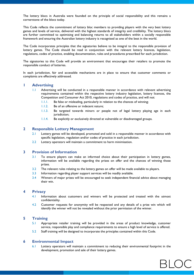The lottery blocs in Australia were founded on the principle of social responsibility and this remains a cornerstone of the blocs today.

This Code reflects the commitment of lottery bloc members to providing players with the very best lottery games and levels of service, delivered with the highest standards of integrity and credibility. The lottery blocs are further committed to optimising and balancing returns to all stakeholders within a socially responsible framework and ensuring the Australian lottery industry is recognised as one of the best in the world.

The Code incorporates principles that the signatories believe to be integral to the responsible provision of lottery games. The Code should be read in conjunction with the relevant lottery licences, legislation, regulations, codes of practice, enabling documentation, rules and procedures prescribed for each jurisdiction.

The signatories to this Code will provide an environment that encourages their retailers to promote the responsible conduct of lotteries.

In each jurisdiction, fair and accessible mechanisms are in place to ensure that customer comments or complaints are effectively addressed.

#### **1 Advertising**

- 1.1 Advertising will be conducted in a responsible manner in accordance with relevant advertising requirements contained within the respective lottery industry legislation, lottery licences, the Competition and Consumer Act 2010, regulations and codes of practice, and will not:
	- 1.1.1. Be false or misleading, particularly in relation to the chances of winning;
	- 1.1.2. Be of an offensive or indecent nature;
	- 1.1.3. Be targeted towards minors or people not of legal lottery playing age in each jurisdiction;
	- 1.1.4. Be explicitly or exclusively directed at vulnerable or disadvantaged groups.

## **2 Responsible Lottery Management**

- 2.1 Lottery games will be developed, promoted and sold in a responsible manner in accordance with specific legislation, regulation and/or codes of practice in each jurisdiction.
- 2.2 Lottery operators will maintain a commitment to harm minimisation.

# **3 Provision of Information**

- 3.1 To ensure players can make an informed choice about their participation in lottery games, information will be available regarding the prizes on offer and the chances of winning those prizes.
- 3.2 The relevant rules relating to the lottery games on offer will be made available to players.
- 3.3 Information regarding player support services will be readily available.
- 3.4 Winners of major prizes will be encouraged to seek independent financial advice about managing their win.

#### **4 Privacy**

- 4.1 Information about customers and winners will be protected and treated with the utmost confidentiality.
- 4.2 Customer requests for anonymity will be respected and any details of a prize win which will identify the winner will not be revealed without the prior permission of the winner.

## **5 Training**

- 5.1 Appropriate retailer training will be provided in the areas of product knowledge, customer service, responsible play and compliance requirements to ensure a high level of service is offered.
- 5.2 Staff training will be designed to incorporate the principles contained within this Code.

#### **6 Environmental Impact**

6.1 Lottery operators will maintain a commitment to reducing their environmental footprint in the development, promotion and sale of their lottery games.

 $310$